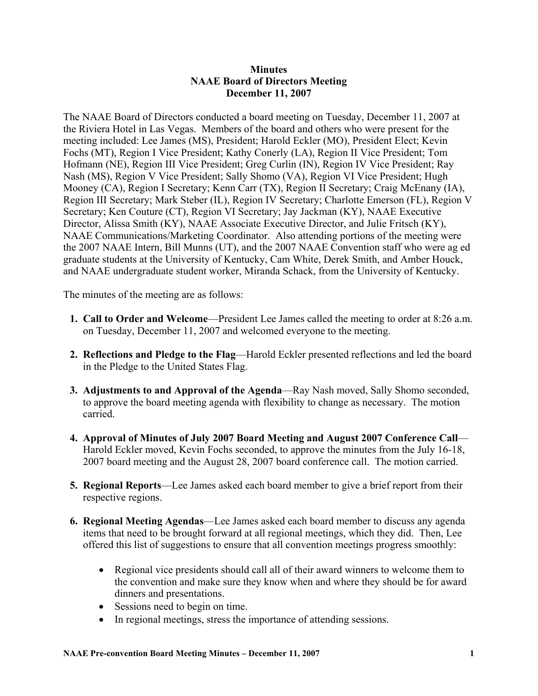## **Minutes NAAE Board of Directors Meeting December 11, 2007**

The NAAE Board of Directors conducted a board meeting on Tuesday, December 11, 2007 at the Riviera Hotel in Las Vegas. Members of the board and others who were present for the meeting included: Lee James (MS), President; Harold Eckler (MO), President Elect; Kevin Fochs (MT), Region I Vice President; Kathy Conerly (LA), Region II Vice President; Tom Hofmann (NE), Region III Vice President; Greg Curlin (IN), Region IV Vice President; Ray Nash (MS), Region V Vice President; Sally Shomo (VA), Region VI Vice President; Hugh Mooney (CA), Region I Secretary; Kenn Carr (TX), Region II Secretary; Craig McEnany (IA), Region III Secretary; Mark Steber (IL), Region IV Secretary; Charlotte Emerson (FL), Region V Secretary; Ken Couture (CT), Region VI Secretary; Jay Jackman (KY), NAAE Executive Director, Alissa Smith (KY), NAAE Associate Executive Director, and Julie Fritsch (KY), NAAE Communications/Marketing Coordinator. Also attending portions of the meeting were the 2007 NAAE Intern, Bill Munns (UT), and the 2007 NAAE Convention staff who were ag ed graduate students at the University of Kentucky, Cam White, Derek Smith, and Amber Houck, and NAAE undergraduate student worker, Miranda Schack, from the University of Kentucky.

The minutes of the meeting are as follows:

- **1. Call to Order and Welcome**—President Lee James called the meeting to order at 8:26 a.m. on Tuesday, December 11, 2007 and welcomed everyone to the meeting.
- **2. Reflections and Pledge to the Flag**—Harold Eckler presented reflections and led the board in the Pledge to the United States Flag.
- **3. Adjustments to and Approval of the Agenda**—Ray Nash moved, Sally Shomo seconded, to approve the board meeting agenda with flexibility to change as necessary. The motion carried.
- **4. Approval of Minutes of July 2007 Board Meeting and August 2007 Conference Call** Harold Eckler moved, Kevin Fochs seconded, to approve the minutes from the July 16-18, 2007 board meeting and the August 28, 2007 board conference call. The motion carried.
- **5. Regional Reports**—Lee James asked each board member to give a brief report from their respective regions.
- **6. Regional Meeting Agendas**—Lee James asked each board member to discuss any agenda items that need to be brought forward at all regional meetings, which they did. Then, Lee offered this list of suggestions to ensure that all convention meetings progress smoothly:
	- Regional vice presidents should call all of their award winners to welcome them to the convention and make sure they know when and where they should be for award dinners and presentations.
	- Sessions need to begin on time.
	- In regional meetings, stress the importance of attending sessions.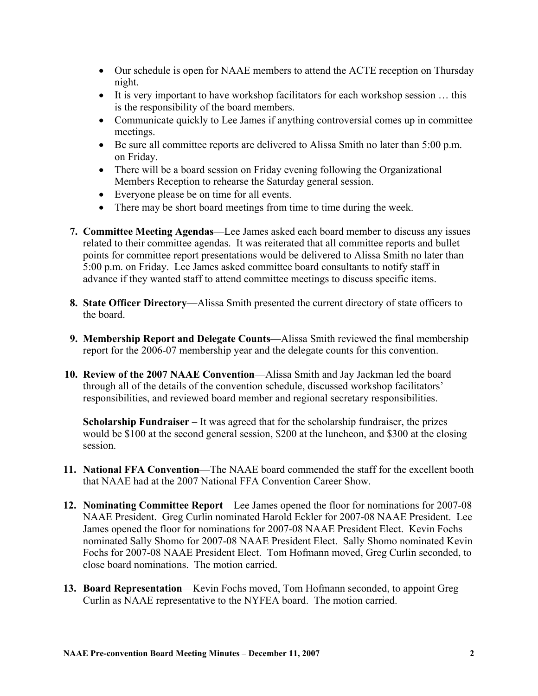- Our schedule is open for NAAE members to attend the ACTE reception on Thursday night.
- It is very important to have workshop facilitators for each workshop session ... this is the responsibility of the board members.
- Communicate quickly to Lee James if anything controversial comes up in committee meetings.
- Be sure all committee reports are delivered to Alissa Smith no later than 5:00 p.m. on Friday.
- There will be a board session on Friday evening following the Organizational Members Reception to rehearse the Saturday general session.
- Everyone please be on time for all events.
- There may be short board meetings from time to time during the week.
- **7. Committee Meeting Agendas**—Lee James asked each board member to discuss any issues related to their committee agendas. It was reiterated that all committee reports and bullet points for committee report presentations would be delivered to Alissa Smith no later than 5:00 p.m. on Friday. Lee James asked committee board consultants to notify staff in advance if they wanted staff to attend committee meetings to discuss specific items.
- **8. State Officer Directory**—Alissa Smith presented the current directory of state officers to the board.
- **9. Membership Report and Delegate Counts**—Alissa Smith reviewed the final membership report for the 2006-07 membership year and the delegate counts for this convention.
- **10. Review of the 2007 NAAE Convention**—Alissa Smith and Jay Jackman led the board through all of the details of the convention schedule, discussed workshop facilitators' responsibilities, and reviewed board member and regional secretary responsibilities.

**Scholarship Fundraiser** – It was agreed that for the scholarship fundraiser, the prizes would be \$100 at the second general session, \$200 at the luncheon, and \$300 at the closing session.

- **11. National FFA Convention**—The NAAE board commended the staff for the excellent booth that NAAE had at the 2007 National FFA Convention Career Show.
- **12. Nominating Committee Report**—Lee James opened the floor for nominations for 2007-08 NAAE President. Greg Curlin nominated Harold Eckler for 2007-08 NAAE President. Lee James opened the floor for nominations for 2007-08 NAAE President Elect. Kevin Fochs nominated Sally Shomo for 2007-08 NAAE President Elect. Sally Shomo nominated Kevin Fochs for 2007-08 NAAE President Elect. Tom Hofmann moved, Greg Curlin seconded, to close board nominations. The motion carried.
- **13. Board Representation**—Kevin Fochs moved, Tom Hofmann seconded, to appoint Greg Curlin as NAAE representative to the NYFEA board. The motion carried.